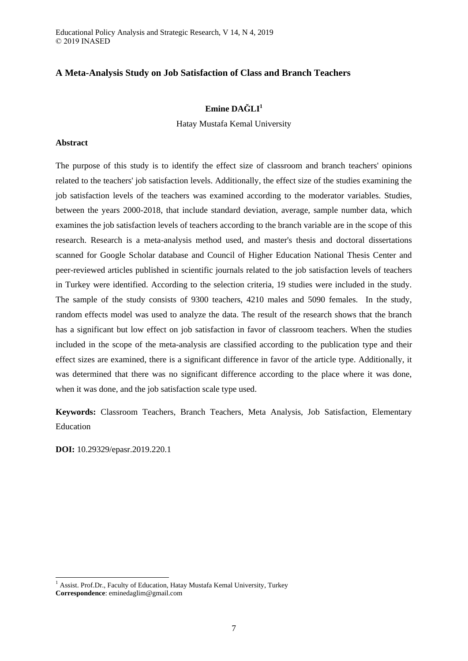Educational Policy Analysis and Strategic Research, V 14, N 4, 2019 © 2019 INASED

# **A Meta-Analysis Study on Job Satisfaction of Class and Branch Teachers**

# **Emine DAĞLI<sup>1</sup>**

Hatay Mustafa Kemal University

# **Abstract**

The purpose of this study is to identify the effect size of classroom and branch teachers' opinions related to the teachers' job satisfaction levels. Additionally, the effect size of the studies examining the job satisfaction levels of the teachers was examined according to the moderator variables. Studies, between the years 2000-2018, that include standard deviation, average, sample number data, which examines the job satisfaction levels of teachers according to the branch variable are in the scope of this research. Research is a meta-analysis method used, and master's thesis and doctoral dissertations scanned for Google Scholar database and Council of Higher Education National Thesis Center and peer-reviewed articles published in scientific journals related to the job satisfaction levels of teachers in Turkey were identified. According to the selection criteria, 19 studies were included in the study. The sample of the study consists of 9300 teachers, 4210 males and 5090 females. In the study, random effects model was used to analyze the data. The result of the research shows that the branch has a significant but low effect on job satisfaction in favor of classroom teachers. When the studies included in the scope of the meta-analysis are classified according to the publication type and their effect sizes are examined, there is a significant difference in favor of the article type. Additionally, it was determined that there was no significant difference according to the place where it was done, when it was done, and the job satisfaction scale type used.

**Keywords:** Classroom Teachers, Branch Teachers, Meta Analysis, Job Satisfaction, Elementary Education

**DOI:** 10.29329/epasr.2019.220.1

-

 $1$  Assist. Prof.Dr., Faculty of Education, Hatay Mustafa Kemal University, Turkey **Correspondence**: eminedaglim@gmail.com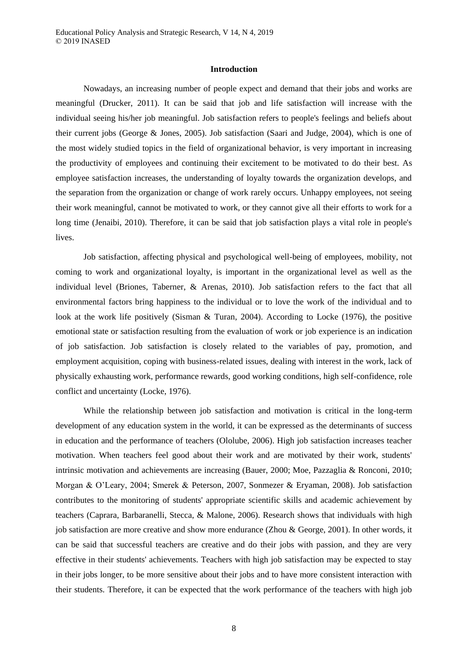#### **Introduction**

Nowadays, an increasing number of people expect and demand that their jobs and works are meaningful (Drucker, 2011). It can be said that job and life satisfaction will increase with the individual seeing his/her job meaningful. Job satisfaction refers to people's feelings and beliefs about their current jobs (George & Jones, 2005). Job satisfaction (Saari and Judge, 2004), which is one of the most widely studied topics in the field of organizational behavior, is very important in increasing the productivity of employees and continuing their excitement to be motivated to do their best. As employee satisfaction increases, the understanding of loyalty towards the organization develops, and the separation from the organization or change of work rarely occurs. Unhappy employees, not seeing their work meaningful, cannot be motivated to work, or they cannot give all their efforts to work for a long time (Jenaibi, 2010). Therefore, it can be said that job satisfaction plays a vital role in people's lives.

Job satisfaction, affecting physical and psychological well-being of employees, mobility, not coming to work and organizational loyalty, is important in the organizational level as well as the individual level (Briones, Taberner, & Arenas, 2010). Job satisfaction refers to the fact that all environmental factors bring happiness to the individual or to love the work of the individual and to look at the work life positively (Sisman & Turan, 2004). According to Locke (1976), the positive emotional state or satisfaction resulting from the evaluation of work or job experience is an indication of job satisfaction. Job satisfaction is closely related to the variables of pay, promotion, and employment acquisition, coping with business-related issues, dealing with interest in the work, lack of physically exhausting work, performance rewards, good working conditions, high self-confidence, role conflict and uncertainty (Locke, 1976).

While the relationship between job satisfaction and motivation is critical in the long-term development of any education system in the world, it can be expressed as the determinants of success in education and the performance of teachers (Ololube, 2006). High job satisfaction increases teacher motivation. When teachers feel good about their work and are motivated by their work, students' intrinsic motivation and achievements are increasing (Bauer, 2000; Moe, Pazzaglia & Ronconi, 2010; Morgan & O'Leary, 2004; Smerek & Peterson, 2007, Sonmezer & Eryaman, 2008). Job satisfaction contributes to the monitoring of students' appropriate scientific skills and academic achievement by teachers (Caprara, Barbaranelli, Stecca, & Malone, 2006). Research shows that individuals with high job satisfaction are more creative and show more endurance (Zhou & George, 2001). In other words, it can be said that successful teachers are creative and do their jobs with passion, and they are very effective in their students' achievements. Teachers with high job satisfaction may be expected to stay in their jobs longer, to be more sensitive about their jobs and to have more consistent interaction with their students. Therefore, it can be expected that the work performance of the teachers with high job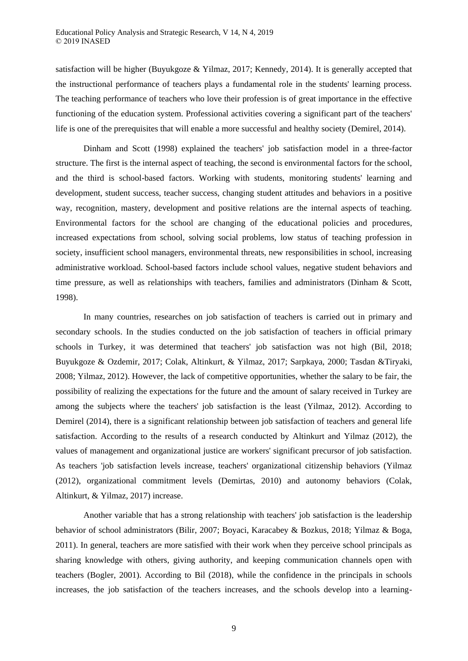satisfaction will be higher (Buyukgoze & Yilmaz, 2017; Kennedy, 2014). It is generally accepted that the instructional performance of teachers plays a fundamental role in the students' learning process. The teaching performance of teachers who love their profession is of great importance in the effective functioning of the education system. Professional activities covering a significant part of the teachers' life is one of the prerequisites that will enable a more successful and healthy society (Demirel, 2014).

Dinham and Scott (1998) explained the teachers' job satisfaction model in a three-factor structure. The first is the internal aspect of teaching, the second is environmental factors for the school, and the third is school-based factors. Working with students, monitoring students' learning and development, student success, teacher success, changing student attitudes and behaviors in a positive way, recognition, mastery, development and positive relations are the internal aspects of teaching. Environmental factors for the school are changing of the educational policies and procedures, increased expectations from school, solving social problems, low status of teaching profession in society, insufficient school managers, environmental threats, new responsibilities in school, increasing administrative workload. School-based factors include school values, negative student behaviors and time pressure, as well as relationships with teachers, families and administrators (Dinham & Scott, 1998).

In many countries, researches on job satisfaction of teachers is carried out in primary and secondary schools. In the studies conducted on the job satisfaction of teachers in official primary schools in Turkey, it was determined that teachers' job satisfaction was not high (Bil, 2018; Buyukgoze & Ozdemir, 2017; Colak, Altinkurt, & Yilmaz, 2017; Sarpkaya, 2000; Tasdan &Tiryaki, 2008; Yilmaz, 2012). However, the lack of competitive opportunities, whether the salary to be fair, the possibility of realizing the expectations for the future and the amount of salary received in Turkey are among the subjects where the teachers' job satisfaction is the least (Yilmaz, 2012). According to Demirel (2014), there is a significant relationship between job satisfaction of teachers and general life satisfaction. According to the results of a research conducted by Altinkurt and Yilmaz (2012), the values of management and organizational justice are workers' significant precursor of job satisfaction. As teachers 'job satisfaction levels increase, teachers' organizational citizenship behaviors (Yilmaz (2012), organizational commitment levels (Demirtas, 2010) and autonomy behaviors (Colak, Altinkurt, & Yilmaz, 2017) increase.

Another variable that has a strong relationship with teachers' job satisfaction is the leadership behavior of school administrators (Bilir, 2007; Boyaci, Karacabey & Bozkus, 2018; Yilmaz & Boga, 2011). In general, teachers are more satisfied with their work when they perceive school principals as sharing knowledge with others, giving authority, and keeping communication channels open with teachers (Bogler, 2001). According to Bil (2018), while the confidence in the principals in schools increases, the job satisfaction of the teachers increases, and the schools develop into a learning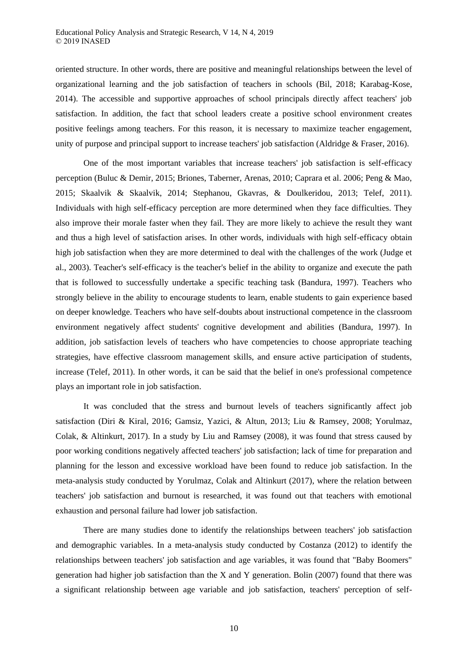oriented structure. In other words, there are positive and meaningful relationships between the level of organizational learning and the job satisfaction of teachers in schools (Bil, 2018; Karabag-Kose, 2014). The accessible and supportive approaches of school principals directly affect teachers' job satisfaction. In addition, the fact that school leaders create a positive school environment creates positive feelings among teachers. For this reason, it is necessary to maximize teacher engagement, unity of purpose and principal support to increase teachers' job satisfaction (Aldridge & Fraser, 2016).

One of the most important variables that increase teachers' job satisfaction is self-efficacy perception (Buluc & Demir, 2015; Briones, Taberner, Arenas, 2010; Caprara et al. 2006; Peng & Mao, 2015; Skaalvik & Skaalvik, 2014; Stephanou, Gkavras, & Doulkeridou, 2013; Telef, 2011). Individuals with high self-efficacy perception are more determined when they face difficulties. They also improve their morale faster when they fail. They are more likely to achieve the result they want and thus a high level of satisfaction arises. In other words, individuals with high self-efficacy obtain high job satisfaction when they are more determined to deal with the challenges of the work (Judge et al., 2003). Teacher's self-efficacy is the teacher's belief in the ability to organize and execute the path that is followed to successfully undertake a specific teaching task (Bandura, 1997). Teachers who strongly believe in the ability to encourage students to learn, enable students to gain experience based on deeper knowledge. Teachers who have self-doubts about instructional competence in the classroom environment negatively affect students' cognitive development and abilities (Bandura, 1997). In addition, job satisfaction levels of teachers who have competencies to choose appropriate teaching strategies, have effective classroom management skills, and ensure active participation of students, increase (Telef, 2011). In other words, it can be said that the belief in one's professional competence plays an important role in job satisfaction.

It was concluded that the stress and burnout levels of teachers significantly affect job satisfaction (Diri & Kiral, 2016; Gamsiz, Yazici, & Altun, 2013; Liu & Ramsey, 2008; Yorulmaz, Colak, & Altinkurt, 2017). In a study by Liu and Ramsey (2008), it was found that stress caused by poor working conditions negatively affected teachers' job satisfaction; lack of time for preparation and planning for the lesson and excessive workload have been found to reduce job satisfaction. In the meta-analysis study conducted by Yorulmaz, Colak and Altinkurt (2017), where the relation between teachers' job satisfaction and burnout is researched, it was found out that teachers with emotional exhaustion and personal failure had lower job satisfaction.

There are many studies done to identify the relationships between teachers' job satisfaction and demographic variables. In a meta-analysis study conducted by Costanza (2012) to identify the relationships between teachers' job satisfaction and age variables, it was found that "Baby Boomers" generation had higher job satisfaction than the X and Y generation. Bolin (2007) found that there was a significant relationship between age variable and job satisfaction, teachers' perception of self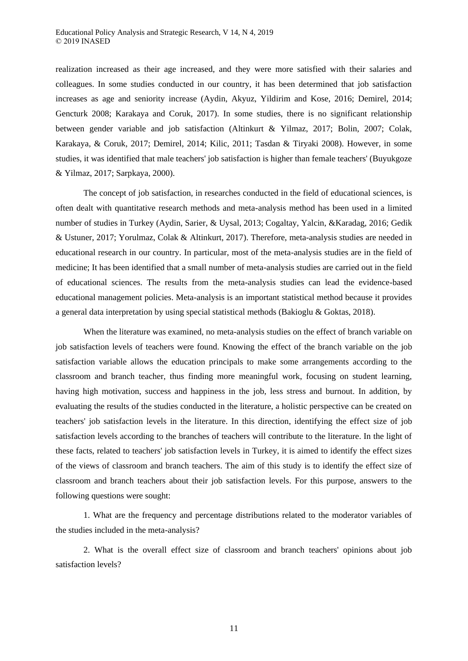realization increased as their age increased, and they were more satisfied with their salaries and colleagues. In some studies conducted in our country, it has been determined that job satisfaction increases as age and seniority increase (Aydin, Akyuz, Yildirim and Kose, 2016; Demirel, 2014; Gencturk 2008; Karakaya and Coruk, 2017). In some studies, there is no significant relationship between gender variable and job satisfaction (Altinkurt & Yilmaz, 2017; Bolin, 2007; Colak, Karakaya, & Coruk, 2017; Demirel, 2014; Kilic, 2011; Tasdan & Tiryaki 2008). However, in some studies, it was identified that male teachers' job satisfaction is higher than female teachers' (Buyukgoze & Yilmaz, 2017; Sarpkaya, 2000).

The concept of job satisfaction, in researches conducted in the field of educational sciences, is often dealt with quantitative research methods and meta-analysis method has been used in a limited number of studies in Turkey (Aydin, Sarier, & Uysal, 2013; Cogaltay, Yalcin, &Karadag, 2016; Gedik & Ustuner, 2017; Yorulmaz, Colak & Altinkurt, 2017). Therefore, meta-analysis studies are needed in educational research in our country. In particular, most of the meta-analysis studies are in the field of medicine; It has been identified that a small number of meta-analysis studies are carried out in the field of educational sciences. The results from the meta-analysis studies can lead the evidence-based educational management policies. Meta-analysis is an important statistical method because it provides a general data interpretation by using special statistical methods (Bakioglu & Goktas, 2018).

When the literature was examined, no meta-analysis studies on the effect of branch variable on job satisfaction levels of teachers were found. Knowing the effect of the branch variable on the job satisfaction variable allows the education principals to make some arrangements according to the classroom and branch teacher, thus finding more meaningful work, focusing on student learning, having high motivation, success and happiness in the job, less stress and burnout. In addition, by evaluating the results of the studies conducted in the literature, a holistic perspective can be created on teachers' job satisfaction levels in the literature. In this direction, identifying the effect size of job satisfaction levels according to the branches of teachers will contribute to the literature. In the light of these facts, related to teachers' job satisfaction levels in Turkey, it is aimed to identify the effect sizes of the views of classroom and branch teachers. The aim of this study is to identify the effect size of classroom and branch teachers about their job satisfaction levels. For this purpose, answers to the following questions were sought:

1. What are the frequency and percentage distributions related to the moderator variables of the studies included in the meta-analysis?

2. What is the overall effect size of classroom and branch teachers' opinions about job satisfaction levels?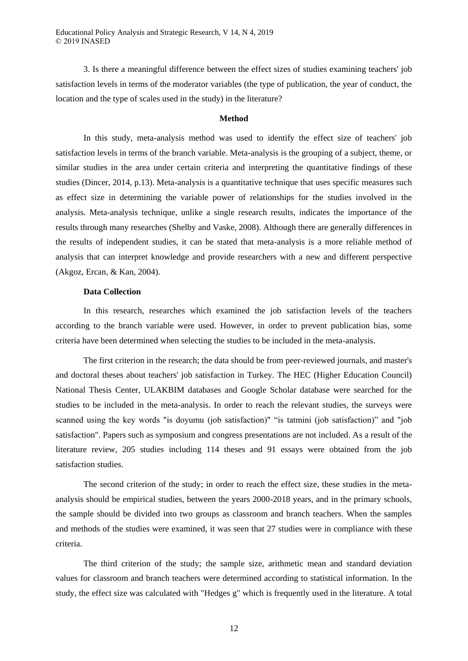3. Is there a meaningful difference between the effect sizes of studies examining teachers' job satisfaction levels in terms of the moderator variables (the type of publication, the year of conduct, the location and the type of scales used in the study) in the literature?

# **Method**

In this study, meta-analysis method was used to identify the effect size of teachers' job satisfaction levels in terms of the branch variable. Meta-analysis is the grouping of a subject, theme, or similar studies in the area under certain criteria and interpreting the quantitative findings of these studies (Dincer, 2014, p.13). Meta-analysis is a quantitative technique that uses specific measures such as effect size in determining the variable power of relationships for the studies involved in the analysis. Meta-analysis technique, unlike a single research results, indicates the importance of the results through many researches (Shelby and Vaske, 2008). Although there are generally differences in the results of independent studies, it can be stated that meta-analysis is a more reliable method of analysis that can interpret knowledge and provide researchers with a new and different perspective (Akgoz, Ercan, & Kan, 2004).

# **Data Collection**

In this research, researches which examined the job satisfaction levels of the teachers according to the branch variable were used. However, in order to prevent publication bias, some criteria have been determined when selecting the studies to be included in the meta-analysis.

The first criterion in the research; the data should be from peer-reviewed journals, and master's and doctoral theses about teachers' job satisfaction in Turkey. The HEC (Higher Education Council) National Thesis Center, ULAKBIM databases and Google Scholar database were searched for the studies to be included in the meta-analysis. In order to reach the relevant studies, the surveys were scanned using the key words "is doyumu (job satisfaction)" "is tatmini (job satisfaction)" and "job satisfaction". Papers such as symposium and congress presentations are not included. As a result of the literature review, 205 studies including 114 theses and 91 essays were obtained from the job satisfaction studies.

The second criterion of the study; in order to reach the effect size, these studies in the metaanalysis should be empirical studies, between the years 2000-2018 years, and in the primary schools, the sample should be divided into two groups as classroom and branch teachers. When the samples and methods of the studies were examined, it was seen that 27 studies were in compliance with these criteria.

The third criterion of the study; the sample size, arithmetic mean and standard deviation values for classroom and branch teachers were determined according to statistical information. In the study, the effect size was calculated with "Hedges g" which is frequently used in the literature. A total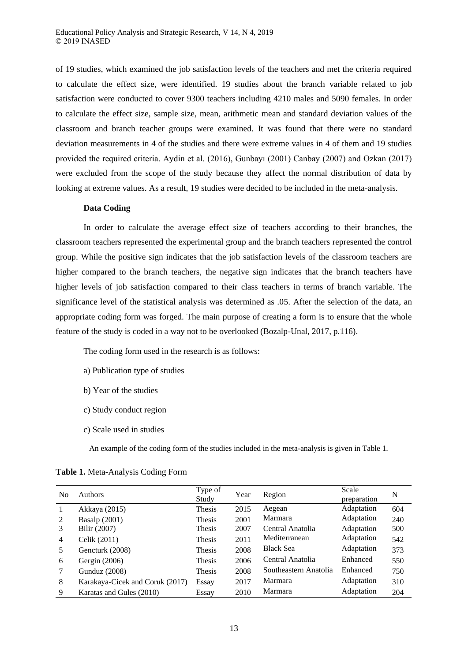of 19 studies, which examined the job satisfaction levels of the teachers and met the criteria required to calculate the effect size, were identified. 19 studies about the branch variable related to job satisfaction were conducted to cover 9300 teachers including 4210 males and 5090 females. In order to calculate the effect size, sample size, mean, arithmetic mean and standard deviation values of the classroom and branch teacher groups were examined. It was found that there were no standard deviation measurements in 4 of the studies and there were extreme values in 4 of them and 19 studies provided the required criteria. Aydin et al. (2016), Gunbayı (2001) Canbay (2007) and Ozkan (2017) were excluded from the scope of the study because they affect the normal distribution of data by looking at extreme values. As a result, 19 studies were decided to be included in the meta-analysis.

# **Data Coding**

In order to calculate the average effect size of teachers according to their branches, the classroom teachers represented the experimental group and the branch teachers represented the control group. While the positive sign indicates that the job satisfaction levels of the classroom teachers are higher compared to the branch teachers, the negative sign indicates that the branch teachers have higher levels of job satisfaction compared to their class teachers in terms of branch variable. The significance level of the statistical analysis was determined as .05. After the selection of the data, an appropriate coding form was forged. The main purpose of creating a form is to ensure that the whole feature of the study is coded in a way not to be overlooked (Bozalp-Unal, 2017, p.116).

The coding form used in the research is as follows:

- a) Publication type of studies
- b) Year of the studies
- c) Study conduct region
- c) Scale used in studies

An example of the coding form of the studies included in the meta-analysis is given in Table 1.

| No | <b>Authors</b>                  | Type of<br>Study | Year | Region                | Scale<br>preparation | N   |
|----|---------------------------------|------------------|------|-----------------------|----------------------|-----|
|    | Akkaya (2015)                   | Thesis           | 2015 | Aegean                | Adaptation           | 604 |
| 2  | <b>Basalp</b> (2001)            | Thesis           | 2001 | Marmara               | Adaptation           | 240 |
| 3  | Bilir (2007)                    | Thesis           | 2007 | Central Anatolia      | Adaptation           | 500 |
| 4  | Celik (2011)                    | <b>Thesis</b>    | 2011 | Mediterranean         | Adaptation           | 542 |
| 5  | Gencturk (2008)                 | <b>Thesis</b>    | 2008 | <b>Black Sea</b>      | Adaptation           | 373 |
| 6  | Gergin $(2006)$                 | <b>Thesis</b>    | 2006 | Central Anatolia      | Enhanced             | 550 |
|    | <b>Gunduz</b> (2008)            | <b>Thesis</b>    | 2008 | Southeastern Anatolia | Enhanced             | 750 |
| 8  | Karakaya-Cicek and Coruk (2017) | Essay            | 2017 | Marmara               | Adaptation           | 310 |
| 9  | Karatas and Gules (2010)        | Essay            | 2010 | Marmara               | Adaptation           | 204 |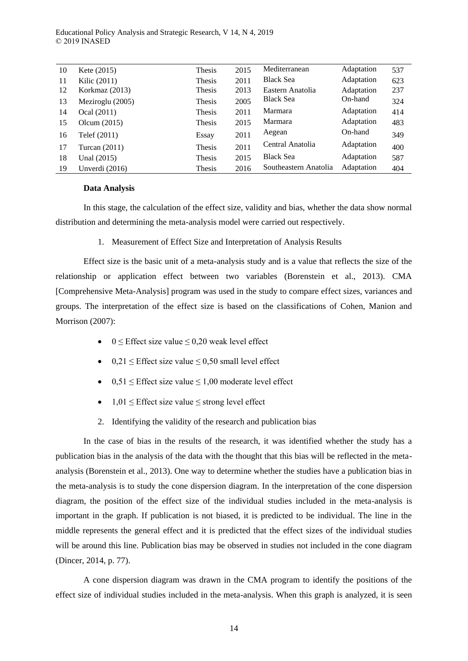Educational Policy Analysis and Strategic Research, V 14, N 4, 2019 © 2019 INASED

| 10 | Kete $(2015)$    | Thesis        | 2015 | Mediterranean         | Adaptation | 537 |
|----|------------------|---------------|------|-----------------------|------------|-----|
| 11 | Kilic (2011)     | Thesis        | 2011 | <b>Black Sea</b>      | Adaptation | 623 |
| 12 | Korkmaz $(2013)$ | <b>Thesis</b> | 2013 | Eastern Anatolia      | Adaptation | 237 |
| 13 | Meziroglu (2005) | Thesis        | 2005 | <b>Black Sea</b>      | On-hand    | 324 |
| 14 | Ocal (2011)      | Thesis        | 2011 | Marmara               | Adaptation | 414 |
| 15 | Olcum $(2015)$   | Thesis        | 2015 | Marmara               | Adaptation | 483 |
| 16 | Telef (2011)     | Essay         | 2011 | Aegean                | On-hand    | 349 |
| 17 | Turcan $(2011)$  | Thesis        | 2011 | Central Anatolia      | Adaptation | 400 |
| 18 | Unal (2015)      | Thesis        | 2015 | <b>Black Sea</b>      | Adaptation | 587 |
| 19 | Unverdi (2016)   | Thesis        | 2016 | Southeastern Anatolia | Adaptation | 404 |
|    |                  |               |      |                       |            |     |

# **Data Analysis**

In this stage, the calculation of the effect size, validity and bias, whether the data show normal distribution and determining the meta-analysis model were carried out respectively.

1. Measurement of Effect Size and Interpretation of Analysis Results

Effect size is the basic unit of a meta-analysis study and is a value that reflects the size of the relationship or application effect between two variables (Borenstein et al., 2013). CMA [Comprehensive Meta-Analysis] program was used in the study to compare effect sizes, variances and groups. The interpretation of the effect size is based on the classifications of Cohen, Manion and Morrison (2007):

- $0 \leq$  Effect size value  $\leq 0.20$  weak level effect
- $\bullet$  0,21  $\leq$  Effect size value  $\leq$  0,50 small level effect
- $\bullet$  0,51  $\leq$  Effect size value  $\leq$  1,00 moderate level effect
- $1,01 \leq$  Effect size value  $\leq$  strong level effect
- 2. Identifying the validity of the research and publication bias

In the case of bias in the results of the research, it was identified whether the study has a publication bias in the analysis of the data with the thought that this bias will be reflected in the metaanalysis (Borenstein et al., 2013). One way to determine whether the studies have a publication bias in the meta-analysis is to study the cone dispersion diagram. In the interpretation of the cone dispersion diagram, the position of the effect size of the individual studies included in the meta-analysis is important in the graph. If publication is not biased, it is predicted to be individual. The line in the middle represents the general effect and it is predicted that the effect sizes of the individual studies will be around this line. Publication bias may be observed in studies not included in the cone diagram (Dincer, 2014, p. 77).

A cone dispersion diagram was drawn in the CMA program to identify the positions of the effect size of individual studies included in the meta-analysis. When this graph is analyzed, it is seen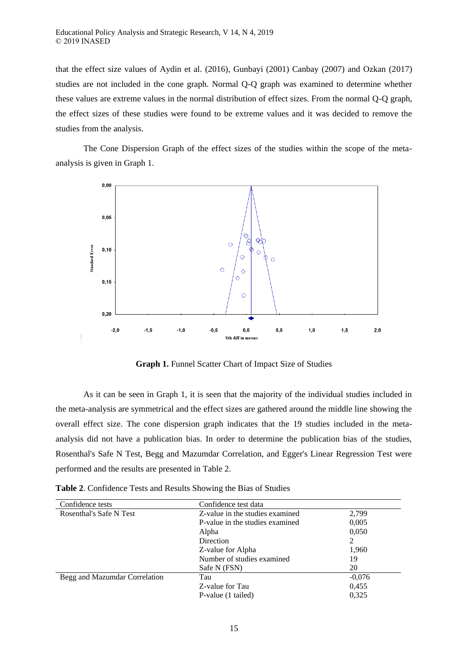that the effect size values of Aydin et al. (2016), Gunbayi (2001) Canbay (2007) and Ozkan (2017) studies are not included in the cone graph. Normal Q-Q graph was examined to determine whether these values are extreme values in the normal distribution of effect sizes. From the normal Q-Q graph, the effect sizes of these studies were found to be extreme values and it was decided to remove the studies from the analysis.

The Cone Dispersion Graph of the effect sizes of the studies within the scope of the metaanalysis is given in Graph 1.



**Graph 1.** Funnel Scatter Chart of Impact Size of Studies

As it can be seen in Graph 1, it is seen that the majority of the individual studies included in the meta-analysis are symmetrical and the effect sizes are gathered around the middle line showing the overall effect size. The cone dispersion graph indicates that the 19 studies included in the metaanalysis did not have a publication bias. In order to determine the publication bias of the studies, Rosenthal's Safe N Test, Begg and Mazumdar Correlation, and Egger's Linear Regression Test were performed and the results are presented in Table 2.

**Table 2**. Confidence Tests and Results Showing the Bias of Studies

| Confidence tests              | Confidence test data                     |          |  |  |
|-------------------------------|------------------------------------------|----------|--|--|
| Rosenthal's Safe N Test       | Z-value in the studies examined<br>2,799 |          |  |  |
|                               | P-value in the studies examined          | 0,005    |  |  |
|                               | Alpha                                    | 0,050    |  |  |
|                               | <b>Direction</b>                         | 2        |  |  |
|                               | Z-value for Alpha                        | 1,960    |  |  |
|                               | Number of studies examined               | 19       |  |  |
|                               | Safe N (FSN)                             | 20       |  |  |
| Begg and Mazumdar Correlation | Tau                                      | $-0.076$ |  |  |
|                               | Z-value for Tau                          | 0.455    |  |  |
|                               | P-value (1 tailed)                       | 0.325    |  |  |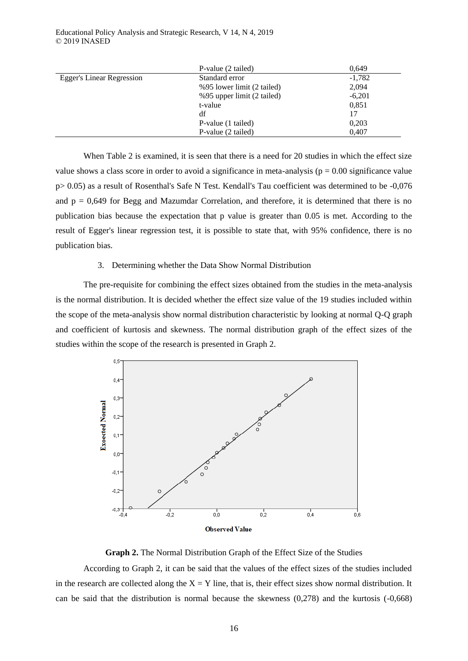|                           | P-value (2 tailed)         | 0,649    |
|---------------------------|----------------------------|----------|
| Egger's Linear Regression | Standard error             | $-1,782$ |
|                           | %95 lower limit (2 tailed) | 2,094    |
|                           | %95 upper limit (2 tailed) | $-6,201$ |
|                           | t-value                    | 0.851    |
|                           | df                         | 17       |
|                           | P-value (1 tailed)         | 0,203    |
|                           | P-value (2 tailed)         | 0,407    |

When Table 2 is examined, it is seen that there is a need for 20 studies in which the effect size value shows a class score in order to avoid a significance in meta-analysis ( $p = 0.00$  significance value p> 0.05) as a result of Rosenthal's Safe N Test. Kendall's Tau coefficient was determined to be -0,076 and  $p = 0.649$  for Begg and Mazumdar Correlation, and therefore, it is determined that there is no publication bias because the expectation that p value is greater than 0.05 is met. According to the result of Egger's linear regression test, it is possible to state that, with 95% confidence, there is no publication bias.

# 3. Determining whether the Data Show Normal Distribution

The pre-requisite for combining the effect sizes obtained from the studies in the meta-analysis is the normal distribution. It is decided whether the effect size value of the 19 studies included within the scope of the meta-analysis show normal distribution characteristic by looking at normal Q-Q graph and coefficient of kurtosis and skewness. The normal distribution graph of the effect sizes of the studies within the scope of the research is presented in Graph 2.





According to Graph 2, it can be said that the values of the effect sizes of the studies included in the research are collected along the  $X = Y$  line, that is, their effect sizes show normal distribution. It can be said that the distribution is normal because the skewness (0,278) and the kurtosis (-0,668)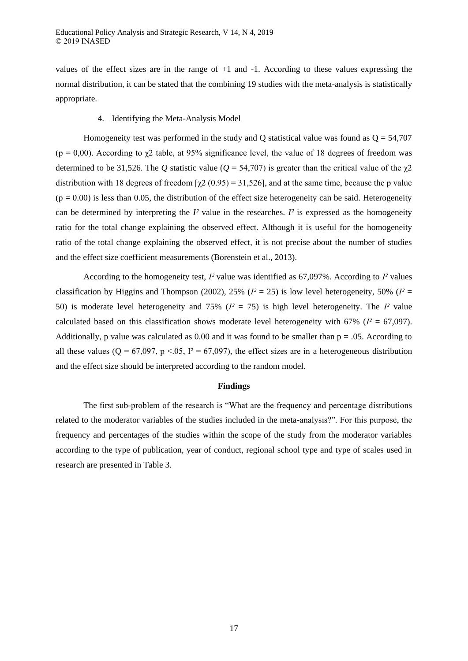values of the effect sizes are in the range of +1 and -1. According to these values expressing the normal distribution, it can be stated that the combining 19 studies with the meta-analysis is statistically appropriate.

# 4. Identifying the Meta-Analysis Model

Homogeneity test was performed in the study and Q statistical value was found as  $Q = 54,707$ (p = 0,00). According to  $\gamma$ 2 table, at 95% significance level, the value of 18 degrees of freedom was determined to be 31,526. The *Q* statistic value ( $Q = 54,707$ ) is greater than the critical value of the  $\chi$ 2 distribution with 18 degrees of freedom  $[\gamma 2 (0.95) = 31,526]$ , and at the same time, because the p value  $(p = 0.00)$  is less than 0.05, the distribution of the effect size heterogeneity can be said. Heterogeneity can be determined by interpreting the  $I<sup>2</sup>$  value in the researches.  $I<sup>2</sup>$  is expressed as the homogeneity ratio for the total change explaining the observed effect. Although it is useful for the homogeneity ratio of the total change explaining the observed effect, it is not precise about the number of studies and the effect size coefficient measurements (Borenstein et al., 2013).

According to the homogeneity test, *I²* value was identified as 67,097%. According to *I²* values classification by Higgins and Thompson (2002), 25% ( $I^2 = 25$ ) is low level heterogeneity, 50% ( $I^2 =$ 50) is moderate level heterogeneity and 75% (*I²* = 75) is high level heterogeneity. The *I²* value calculated based on this classification shows moderate level heterogeneity with 67% ( $I^2 = 67,097$ ). Additionally, p value was calculated as 0.00 and it was found to be smaller than  $p = 0.05$ . According to all these values ( $Q = 67,097$ ,  $p < 0.05$ ,  $I^2 = 67,097$ ), the effect sizes are in a heterogeneous distribution and the effect size should be interpreted according to the random model.

#### **Findings**

The first sub-problem of the research is "What are the frequency and percentage distributions related to the moderator variables of the studies included in the meta-analysis?". For this purpose, the frequency and percentages of the studies within the scope of the study from the moderator variables according to the type of publication, year of conduct, regional school type and type of scales used in research are presented in Table 3.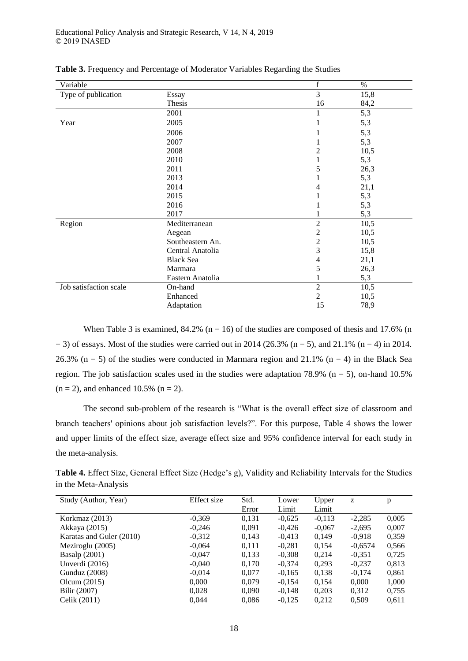| Variable               |                  | $\mathbf f$    | $\%$ |
|------------------------|------------------|----------------|------|
| Type of publication    | Essay            | 3              | 15,8 |
|                        | Thesis           | 16             | 84,2 |
|                        | 2001             | 1              | 5,3  |
| Year                   | 2005             |                | 5,3  |
|                        | 2006             |                | 5,3  |
|                        | 2007             |                | 5,3  |
|                        | 2008             | 2              | 10,5 |
|                        | 2010             | 1              | 5,3  |
|                        | 2011             | 5              | 26,3 |
|                        | 2013             |                | 5,3  |
|                        | 2014             | 4              | 21,1 |
|                        | 2015             |                | 5,3  |
|                        | 2016             |                | 5,3  |
|                        | 2017             |                | 5,3  |
| Region                 | Mediterranean    | $\overline{2}$ | 10,5 |
|                        | Aegean           | $\overline{c}$ | 10,5 |
|                        | Southeastern An. | $\overline{c}$ | 10,5 |
|                        | Central Anatolia | 3              | 15,8 |
|                        | <b>Black Sea</b> | $\overline{4}$ | 21,1 |
|                        | Marmara          | 5              | 26,3 |
|                        | Eastern Anatolia |                | 5,3  |
| Job satisfaction scale | On-hand          | $\overline{2}$ | 10,5 |
|                        | Enhanced         | $\overline{2}$ | 10,5 |
|                        | Adaptation       | 15             | 78,9 |

**Table 3.** Frequency and Percentage of Moderator Variables Regarding the Studies

When Table 3 is examined,  $84.2\%$  (n = 16) of the studies are composed of thesis and 17.6% (n  $=$  3) of essays. Most of the studies were carried out in 2014 (26.3% (n = 5), and 21.1% (n = 4) in 2014. 26.3% ( $n = 5$ ) of the studies were conducted in Marmara region and 21.1% ( $n = 4$ ) in the Black Sea region. The job satisfaction scales used in the studies were adaptation 78.9% ( $n = 5$ ), on-hand 10.5%  $(n = 2)$ , and enhanced 10.5%  $(n = 2)$ .

The second sub-problem of the research is "What is the overall effect size of classroom and branch teachers' opinions about job satisfaction levels?". For this purpose, Table 4 shows the lower and upper limits of the effect size, average effect size and 95% confidence interval for each study in the meta-analysis.

**Table 4.** Effect Size, General Effect Size (Hedge's g), Validity and Reliability Intervals for the Studies in the Meta-Analysis

| Study (Author, Year)     | Effect size | Std.  | Lower    | Upper    | z         | p     |
|--------------------------|-------------|-------|----------|----------|-----------|-------|
|                          |             | Error | Limit    | Limit    |           |       |
| Korkmaz (2013)           | $-0,369$    | 0,131 | $-0.625$ | $-0,113$ | $-2,285$  | 0,005 |
| Akkaya (2015)            | $-0.246$    | 0.091 | $-0.426$ | $-0,067$ | $-2.695$  | 0,007 |
| Karatas and Guler (2010) | $-0.312$    | 0,143 | $-0.413$ | 0.149    | $-0.918$  | 0,359 |
| Meziroglu (2005)         | $-0,064$    | 0,111 | $-0,281$ | 0,154    | $-0.6574$ | 0.566 |
| <b>Basalp</b> (2001)     | $-0.047$    | 0,133 | $-0.308$ | 0.214    | $-0.351$  | 0,725 |
| Unverdi $(2016)$         | $-0.040$    | 0.170 | $-0,374$ | 0,293    | $-0.237$  | 0.813 |
| <b>Gunduz</b> (2008)     | $-0.014$    | 0,077 | $-0.165$ | 0.138    | $-0.174$  | 0,861 |
| Olcum $(2015)$           | 0,000       | 0.079 | $-0.154$ | 0,154    | 0,000     | 1,000 |
| Bilir (2007)             | 0,028       | 0,090 | $-0,148$ | 0,203    | 0,312     | 0,755 |
| Celik (2011)             | 0,044       | 0.086 | $-0,125$ | 0,212    | 0,509     | 0,611 |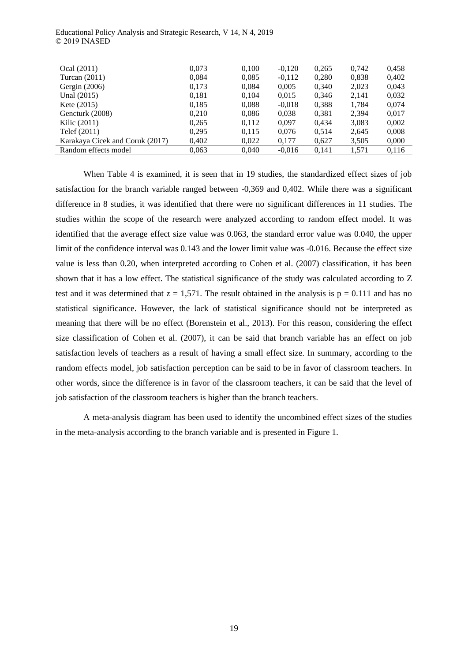| Ocal (2011)                     | 0.073 | 0,100 | $-0.120$ | 0.265 | 0.742 | 0.458 |
|---------------------------------|-------|-------|----------|-------|-------|-------|
| Turcan $(2011)$                 | 0,084 | 0,085 | $-0.112$ | 0,280 | 0,838 | 0,402 |
| Gergin $(2006)$                 | 0,173 | 0,084 | 0,005    | 0,340 | 2,023 | 0,043 |
| Unal (2015)                     | 0,181 | 0.104 | 0.015    | 0,346 | 2,141 | 0.032 |
| Kete $(2015)$                   | 0.185 | 0,088 | $-0.018$ | 0.388 | 1,784 | 0,074 |
| Gencturk (2008)                 | 0,210 | 0,086 | 0,038    | 0,381 | 2,394 | 0,017 |
| Kilic (2011)                    | 0.265 | 0.112 | 0.097    | 0.434 | 3,083 | 0,002 |
| Telef (2011)                    | 0.295 | 0,115 | 0.076    | 0.514 | 2,645 | 0,008 |
| Karakaya Cicek and Coruk (2017) | 0,402 | 0,022 | 0,177    | 0,627 | 3,505 | 0,000 |
| Random effects model            | 0,063 | 0.040 | $-0.016$ | 0.141 | 1,571 | 0,116 |

Educational Policy Analysis and Strategic Research, V 14, N 4, 2019 © 2019 INASED

When Table 4 is examined, it is seen that in 19 studies, the standardized effect sizes of job satisfaction for the branch variable ranged between -0,369 and 0,402. While there was a significant difference in 8 studies, it was identified that there were no significant differences in 11 studies. The studies within the scope of the research were analyzed according to random effect model. It was identified that the average effect size value was 0.063, the standard error value was 0.040, the upper limit of the confidence interval was 0.143 and the lower limit value was -0.016. Because the effect size value is less than 0.20, when interpreted according to Cohen et al. (2007) classification, it has been shown that it has a low effect. The statistical significance of the study was calculated according to Z test and it was determined that  $z = 1.571$ . The result obtained in the analysis is  $p = 0.111$  and has no statistical significance. However, the lack of statistical significance should not be interpreted as meaning that there will be no effect (Borenstein et al., 2013). For this reason, considering the effect size classification of Cohen et al. (2007), it can be said that branch variable has an effect on job satisfaction levels of teachers as a result of having a small effect size. In summary, according to the random effects model, job satisfaction perception can be said to be in favor of classroom teachers. In other words, since the difference is in favor of the classroom teachers, it can be said that the level of job satisfaction of the classroom teachers is higher than the branch teachers.

A meta-analysis diagram has been used to identify the uncombined effect sizes of the studies in the meta-analysis according to the branch variable and is presented in Figure 1.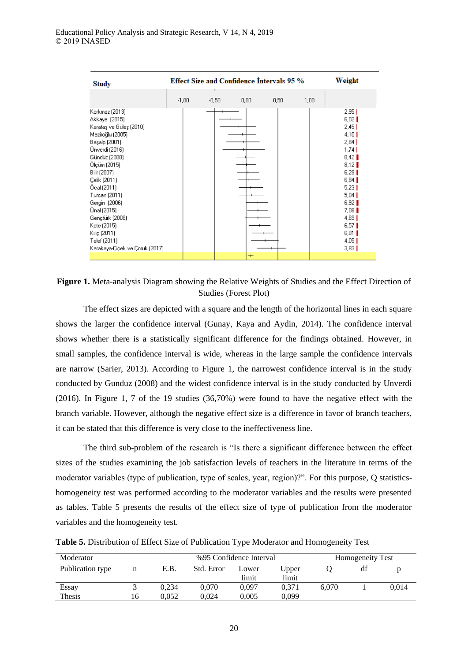| <b>Study</b>                                                                                                                                                                                                                                                                                                                                            |         |         | <b>Effect Size and Confidence Intervals 95 %</b> |                                  |      |      | Weight                                                                                                                                                                                         |
|---------------------------------------------------------------------------------------------------------------------------------------------------------------------------------------------------------------------------------------------------------------------------------------------------------------------------------------------------------|---------|---------|--------------------------------------------------|----------------------------------|------|------|------------------------------------------------------------------------------------------------------------------------------------------------------------------------------------------------|
|                                                                                                                                                                                                                                                                                                                                                         | $-1.00$ | $-0.50$ | 0.00 <sub>1</sub>                                |                                  | 0,50 | 1,00 |                                                                                                                                                                                                |
| Korkmaz (2013)<br>Akkaya (2015)<br>Karataş ve Güleş (2010)<br>Meziroğlu (2005)<br>Başalp (2001)<br>Ünverdi (2016)<br>Gündüz (2008)<br>Ölçüm (2015)<br>Bilir (2007)<br>Celik (2011)<br>Öcal (2011)<br>Turcan (2011)<br>Gergin (2006)<br>Unal (2015)<br>Gençtürk (2008)<br>Kete (2015)<br>Kiliç (2011)<br>Telef (2011)<br>Karakaya-Çiçek ve Çoruk (2017). |         |         |                                                  |                                  |      |      | 2,95<br>6,02<br>2,45<br>4,10<br>2,84<br>1,74<br>8,42<br>8,12<br>6,29<br>$6.84$ $\blacksquare$<br>5,23<br>5,04<br>$6,92$  <br>$7.08$ $\blacksquare$<br>4,69<br>6,57<br>$6,81$  <br>4,05<br>3,83 |
|                                                                                                                                                                                                                                                                                                                                                         |         |         |                                                  | $\hspace{0.1mm} +\hspace{0.1mm}$ |      |      |                                                                                                                                                                                                |

**Figure 1.** Meta-analysis Diagram showing the Relative Weights of Studies and the Effect Direction of Studies (Forest Plot)

The effect sizes are depicted with a square and the length of the horizontal lines in each square shows the larger the confidence interval (Gunay, Kaya and Aydin, 2014). The confidence interval shows whether there is a statistically significant difference for the findings obtained. However, in small samples, the confidence interval is wide, whereas in the large sample the confidence intervals are narrow (Sarier, 2013). According to Figure 1, the narrowest confidence interval is in the study conducted by Gunduz (2008) and the widest confidence interval is in the study conducted by Unverdi (2016). In Figure 1, 7 of the 19 studies (36,70%) were found to have the negative effect with the branch variable. However, although the negative effect size is a difference in favor of branch teachers, it can be stated that this difference is very close to the ineffectiveness line.

The third sub-problem of the research is "Is there a significant difference between the effect sizes of the studies examining the job satisfaction levels of teachers in the literature in terms of the moderator variables (type of publication, type of scales, year, region)?". For this purpose, Q statisticshomogeneity test was performed according to the moderator variables and the results were presented as tables. Table 5 presents the results of the effect size of type of publication from the moderator variables and the homogeneity test.

**Table 5.** Distribution of Effect Size of Publication Type Moderator and Homogeneity Test

| Moderator        |    |       |            | %95 Confidence Interval |                | <b>Homogeneity Test</b> |    |       |
|------------------|----|-------|------------|-------------------------|----------------|-------------------------|----|-------|
| Publication type | n  | E.B.  | Std. Error | Lower<br>limit          | Upper<br>limit |                         | df |       |
| Essay            |    | 0.234 | 0.070      | 0.097                   | 0.371          | 6.070                   |    | 0.014 |
| <b>Thesis</b>    | 16 | 0.052 | 0.024      | 0.005                   | 0.099          |                         |    |       |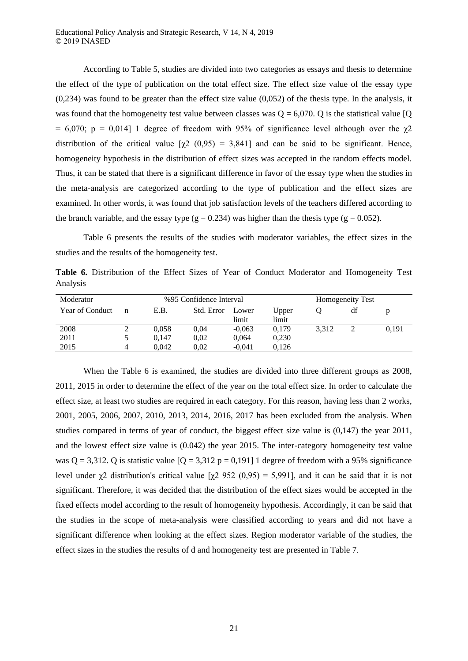According to Table 5, studies are divided into two categories as essays and thesis to determine the effect of the type of publication on the total effect size. The effect size value of the essay type (0,234) was found to be greater than the effect size value (0,052) of the thesis type. In the analysis, it was found that the homogeneity test value between classes was  $Q = 6,070$ . Q is the statistical value [Q] = 6,070; p = 0,014] 1 degree of freedom with 95% of significance level although over the  $\chi$ 2 distribution of the critical value  $[\gamma2 (0.95) = 3.841]$  and can be said to be significant. Hence, homogeneity hypothesis in the distribution of effect sizes was accepted in the random effects model. Thus, it can be stated that there is a significant difference in favor of the essay type when the studies in the meta-analysis are categorized according to the type of publication and the effect sizes are examined. In other words, it was found that job satisfaction levels of the teachers differed according to the branch variable, and the essay type  $(g = 0.234)$  was higher than the thesis type  $(g = 0.052)$ .

Table 6 presents the results of the studies with moderator variables, the effect sizes in the studies and the results of the homogeneity test.

**Table 6.** Distribution of the Effect Sizes of Year of Conduct Moderator and Homogeneity Test Analysis

| %95 Confidence Interval<br>Moderator |   |       |            |                | Homogeneity Test |       |    |       |  |
|--------------------------------------|---|-------|------------|----------------|------------------|-------|----|-------|--|
| Year of Conduct                      | n | E.B.  | Std. Error | Lower<br>limit | Upper<br>limit   |       | df |       |  |
| 2008                                 |   | 0.058 | 0.04       | $-0.063$       | 0.179            | 3.312 |    | 0.191 |  |
| 2011                                 |   | 0.147 | 0.02       | 0,064          | 0,230            |       |    |       |  |
| 2015                                 | 4 | 0.042 | 0.02       | $-0.041$       | 0.126            |       |    |       |  |

When the Table 6 is examined, the studies are divided into three different groups as 2008, 2011, 2015 in order to determine the effect of the year on the total effect size. In order to calculate the effect size, at least two studies are required in each category. For this reason, having less than 2 works, 2001, 2005, 2006, 2007, 2010, 2013, 2014, 2016, 2017 has been excluded from the analysis. When studies compared in terms of year of conduct, the biggest effect size value is (0,147) the year 2011, and the lowest effect size value is (0.042) the year 2015. The inter-category homogeneity test value was  $Q = 3,312$ . Q is statistic value  $[Q = 3,312$  p = 0,191] 1 degree of freedom with a 95% significance level under  $χ$ 2 distribution's critical value  $[χ$ 2 952 (0,95) = 5,991], and it can be said that it is not significant. Therefore, it was decided that the distribution of the effect sizes would be accepted in the fixed effects model according to the result of homogeneity hypothesis. Accordingly, it can be said that the studies in the scope of meta-analysis were classified according to years and did not have a significant difference when looking at the effect sizes. Region moderator variable of the studies, the effect sizes in the studies the results of d and homogeneity test are presented in Table 7.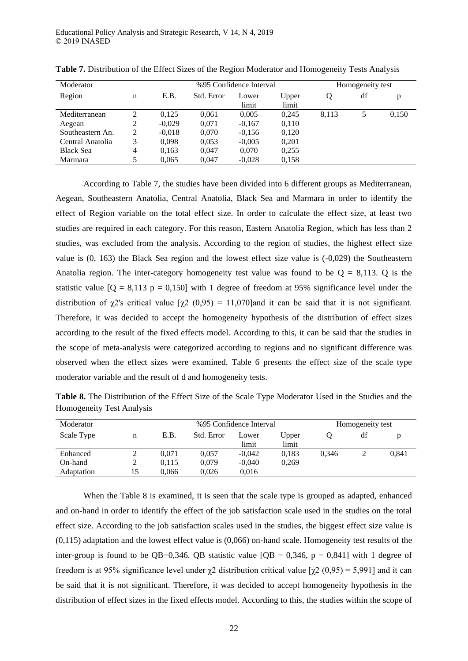| Moderator        |   |          | %95 Confidence Interval |                | Homogeneity test |        |    |       |
|------------------|---|----------|-------------------------|----------------|------------------|--------|----|-------|
| Region           | n | E.B.     | Std. Error              | Lower<br>limit | Upper<br>limit   | $\cup$ | df | p     |
| Mediterranean    | 2 | 0,125    | 0,061                   | 0.005          | 0.245            | 8.113  | 5  | 0,150 |
| Aegean           | 2 | $-0.029$ | 0,071                   | $-0.167$       | 0,110            |        |    |       |
| Southeastern An. | 2 | $-0.018$ | 0,070                   | $-0.156$       | 0,120            |        |    |       |
| Central Anatolia | 3 | 0,098    | 0,053                   | $-0,005$       | 0,201            |        |    |       |
| <b>Black Sea</b> | 4 | 0,163    | 0,047                   | 0,070          | 0.255            |        |    |       |
| Marmara          | 5 | 0,065    | 0,047                   | $-0,028$       | 0.158            |        |    |       |

**Table 7.** Distribution of the Effect Sizes of the Region Moderator and Homogeneity Tests Analysis

According to Table 7, the studies have been divided into 6 different groups as Mediterranean, Aegean, Southeastern Anatolia, Central Anatolia, Black Sea and Marmara in order to identify the effect of Region variable on the total effect size. In order to calculate the effect size, at least two studies are required in each category. For this reason, Eastern Anatolia Region, which has less than 2 studies, was excluded from the analysis. According to the region of studies, the highest effect size value is (0, 163) the Black Sea region and the lowest effect size value is (-0,029) the Southeastern Anatolia region. The inter-category homogeneity test value was found to be  $Q = 8,113$ . Q is the statistic value  $[Q = 8,113 p = 0,150]$  with 1 degree of freedom at 95% significance level under the distribution of  $\chi$ 2's critical value  $[\gamma$ 2 (0,95) = 11,070]and it can be said that it is not significant. Therefore, it was decided to accept the homogeneity hypothesis of the distribution of effect sizes according to the result of the fixed effects model. According to this, it can be said that the studies in the scope of meta-analysis were categorized according to regions and no significant difference was observed when the effect sizes were examined. Table 6 presents the effect size of the scale type moderator variable and the result of d and homogeneity tests.

**Table 8.** The Distribution of the Effect Size of the Scale Type Moderator Used in the Studies and the Homogeneity Test Analysis

| Moderator  |    | %95 Confidence Interval |            |                |                | Homogeneity test |    |       |
|------------|----|-------------------------|------------|----------------|----------------|------------------|----|-------|
| Scale Type | n  | E.B.                    | Std. Error | Lower<br>limit | Upper<br>limit |                  | df |       |
| Enhanced   |    | 0.071                   | 0.057      | $-0.042$       | 0.183          | 0.346            |    | 0.841 |
| On-hand    | າ  | 0.115                   | 0.079      | $-0.040$       | 0.269          |                  |    |       |
| Adaptation | 15 | 0.066                   | 0.026      | 0.016          |                |                  |    |       |

When the Table 8 is examined, it is seen that the scale type is grouped as adapted, enhanced and on-hand in order to identify the effect of the job satisfaction scale used in the studies on the total effect size. According to the job satisfaction scales used in the studies, the biggest effect size value is (0,115) adaptation and the lowest effect value is (0,066) on-hand scale. Homogeneity test results of the inter-group is found to be  $OB = 0.346$ . OB statistic value  $IOB = 0.346$ ,  $p = 0.8411$  with 1 degree of freedom is at 95% significance level under  $χ$ 2 distribution critical value  $[χ$ 2 (0,95) = 5,991] and it can be said that it is not significant. Therefore, it was decided to accept homogeneity hypothesis in the distribution of effect sizes in the fixed effects model. According to this, the studies within the scope of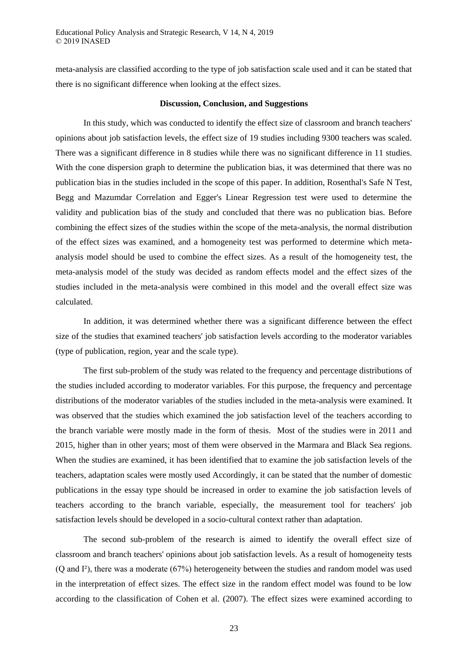meta-analysis are classified according to the type of job satisfaction scale used and it can be stated that there is no significant difference when looking at the effect sizes.

#### **Discussion, Conclusion, and Suggestions**

In this study, which was conducted to identify the effect size of classroom and branch teachers' opinions about job satisfaction levels, the effect size of 19 studies including 9300 teachers was scaled. There was a significant difference in 8 studies while there was no significant difference in 11 studies. With the cone dispersion graph to determine the publication bias, it was determined that there was no publication bias in the studies included in the scope of this paper. In addition, Rosenthal's Safe N Test, Begg and Mazumdar Correlation and Egger's Linear Regression test were used to determine the validity and publication bias of the study and concluded that there was no publication bias. Before combining the effect sizes of the studies within the scope of the meta-analysis, the normal distribution of the effect sizes was examined, and a homogeneity test was performed to determine which metaanalysis model should be used to combine the effect sizes. As a result of the homogeneity test, the meta-analysis model of the study was decided as random effects model and the effect sizes of the studies included in the meta-analysis were combined in this model and the overall effect size was calculated.

In addition, it was determined whether there was a significant difference between the effect size of the studies that examined teachers' job satisfaction levels according to the moderator variables (type of publication, region, year and the scale type).

The first sub-problem of the study was related to the frequency and percentage distributions of the studies included according to moderator variables. For this purpose, the frequency and percentage distributions of the moderator variables of the studies included in the meta-analysis were examined. It was observed that the studies which examined the job satisfaction level of the teachers according to the branch variable were mostly made in the form of thesis. Most of the studies were in 2011 and 2015, higher than in other years; most of them were observed in the Marmara and Black Sea regions. When the studies are examined, it has been identified that to examine the job satisfaction levels of the teachers, adaptation scales were mostly used Accordingly, it can be stated that the number of domestic publications in the essay type should be increased in order to examine the job satisfaction levels of teachers according to the branch variable, especially, the measurement tool for teachers' job satisfaction levels should be developed in a socio-cultural context rather than adaptation.

The second sub-problem of the research is aimed to identify the overall effect size of classroom and branch teachers' opinions about job satisfaction levels. As a result of homogeneity tests (Q and I²), there was a moderate (67%) heterogeneity between the studies and random model was used in the interpretation of effect sizes. The effect size in the random effect model was found to be low according to the classification of Cohen et al. (2007). The effect sizes were examined according to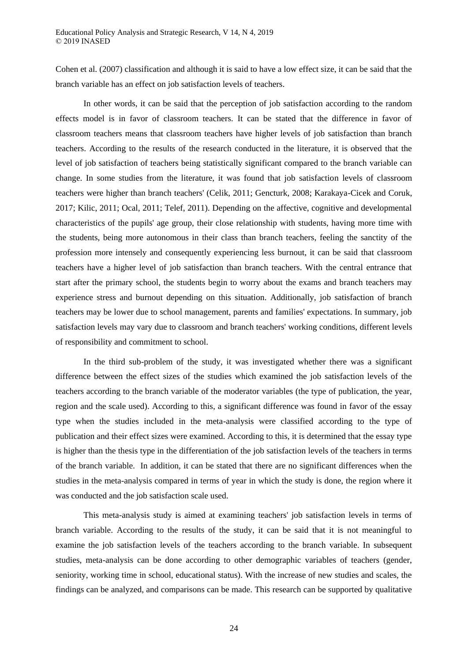Cohen et al. (2007) classification and although it is said to have a low effect size, it can be said that the branch variable has an effect on job satisfaction levels of teachers.

In other words, it can be said that the perception of job satisfaction according to the random effects model is in favor of classroom teachers. It can be stated that the difference in favor of classroom teachers means that classroom teachers have higher levels of job satisfaction than branch teachers. According to the results of the research conducted in the literature, it is observed that the level of job satisfaction of teachers being statistically significant compared to the branch variable can change. In some studies from the literature, it was found that job satisfaction levels of classroom teachers were higher than branch teachers' (Celik, 2011; Gencturk, 2008; Karakaya-Cicek and Coruk, 2017; Kilic, 2011; Ocal, 2011; Telef, 2011). Depending on the affective, cognitive and developmental characteristics of the pupils' age group, their close relationship with students, having more time with the students, being more autonomous in their class than branch teachers, feeling the sanctity of the profession more intensely and consequently experiencing less burnout, it can be said that classroom teachers have a higher level of job satisfaction than branch teachers. With the central entrance that start after the primary school, the students begin to worry about the exams and branch teachers may experience stress and burnout depending on this situation. Additionally, job satisfaction of branch teachers may be lower due to school management, parents and families' expectations. In summary, job satisfaction levels may vary due to classroom and branch teachers' working conditions, different levels of responsibility and commitment to school.

In the third sub-problem of the study, it was investigated whether there was a significant difference between the effect sizes of the studies which examined the job satisfaction levels of the teachers according to the branch variable of the moderator variables (the type of publication, the year, region and the scale used). According to this, a significant difference was found in favor of the essay type when the studies included in the meta-analysis were classified according to the type of publication and their effect sizes were examined. According to this, it is determined that the essay type is higher than the thesis type in the differentiation of the job satisfaction levels of the teachers in terms of the branch variable. In addition, it can be stated that there are no significant differences when the studies in the meta-analysis compared in terms of year in which the study is done, the region where it was conducted and the job satisfaction scale used.

This meta-analysis study is aimed at examining teachers' job satisfaction levels in terms of branch variable. According to the results of the study, it can be said that it is not meaningful to examine the job satisfaction levels of the teachers according to the branch variable. In subsequent studies, meta-analysis can be done according to other demographic variables of teachers (gender, seniority, working time in school, educational status). With the increase of new studies and scales, the findings can be analyzed, and comparisons can be made. This research can be supported by qualitative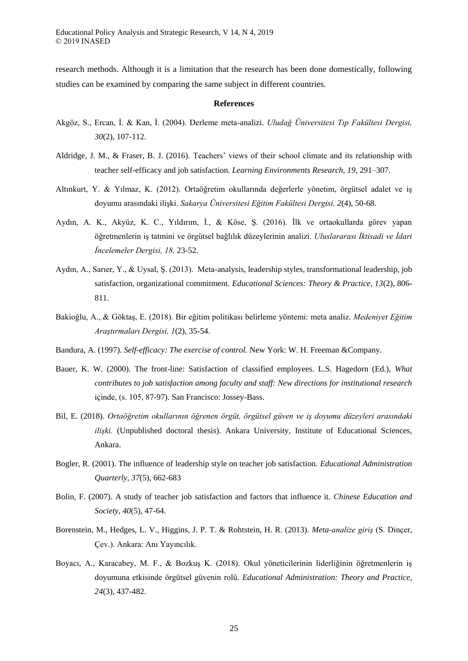research methods. Although it is a limitation that the research has been done domestically, following studies can be examined by comparing the same subject in different countries.

#### **References**

- Akgöz, S., Ercan, İ. & Kan, İ. (2004). Derleme meta-analizi. *Uludağ Üniversitesi Tıp Fakültesi Dergisi, 30*(2), 107-112.
- Aldridge, J. M., & Fraser, B. J. (2016). Teachers' views of their school climate and its relationship with teacher self-efficacy and job satisfaction. *Learning Environments Research, 19*, 291–307.
- Altınkurt, Y. & Yılmaz, K. (2012). Ortaöğretim okullarında değerlerle yönetim, örgütsel adalet ve iş doyumu arasındaki ilişki. *Sakarya Üniversitesi Eğitim Fakültesi Dergisi, 2*(4), 50-68.
- Aydın, A. K., Akyüz, K. C., Yıldırım, İ., & Köse, Ş. (2016). İlk ve ortaokullarda görev yapan öğretmenlerin iş tatmini ve örgütsel bağlılık düzeylerinin analizi. *Uluslararası İktisadi ve İdari İncelemeler Dergisi, 18,* 23-52.
- Aydın, A., Sarıer, Y., & Uysal, Ş. (2013). Meta-analysis, leadership styles, transformational leadership, job satisfaction, organizational commitment. *Educational Sciences: Theory & Practice, 13*(2), 806- 811.
- Bakioğlu, A., & Göktaş, E. (2018). Bir eğitim politikası belirleme yöntemi: meta analiz. *Medeniyet Eğitim Araştırmaları Dergisi, 1*(2), 35-54.
- Bandura, A. (1997). *Self-efficacy: The exercise of control.* New York: W. H. Freeman &Company.
- Bauer, K. W. (2000). The front-line: Satisfaction of classified employees. L.S. Hagedorn (Ed.), *What contributes to job satisfaction among faculty and staff: New directions for institutional research*  içinde, (s. 105, 87-97). San Francisco: Jossey-Bass.
- Bil, E. (2018). *Ortaöğretim okullarının öğrenen örgüt, örgütsel güven ve iş doyumu düzeyleri arasındaki ilişki.* (Unpublished doctoral thesis). Ankara University, Institute of Educational Sciences, Ankara.
- Bogler, R. (2001). The influence of leadership style on teacher job satisfaction. *Educational Administration Quarterly, 37*(5), 662-683
- Bolin, F. (2007). A study of teacher job satisfaction and factors that influence it. *Chinese Education and Society, 40*(5), 47-64.
- Borenstein, M., Hedges, L. V., Higgins, J. P. T. & Rohtstein, H. R. (2013). *Meta-analize giriş* (S. Dinçer, Çev.). Ankara: Anı Yayıncılık.
- Boyacı, A., Karacabey, M. F., & Bozkuş K. (2018). Okul yöneticilerinin liderliğinin öğretmenlerin iş doyumuna etkisinde örgütsel güvenin rolü. *Educational Administration: Theory and Practice, 24*(3), 437-482.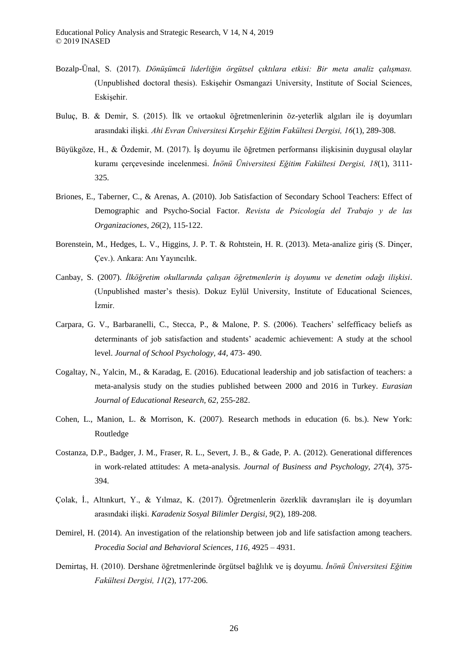- Bozalp-Ünal, S. (2017). *Dönüşümcü liderliğin örgütsel çıktılara etkisi: Bir meta analiz çalışması.* (Unpublished doctoral thesis). Eskişehir Osmangazi University, Institute of Social Sciences, Eskişehir.
- Buluç, B. & Demir, S. (2015). İlk ve ortaokul öğretmenlerinin öz-yeterlik algıları ile iş doyumları arasındaki ilişki*. Ahi Evran Üniversitesi Kırşehir Eğitim Fakültesi Dergisi, 16*(1), 289-308.
- Büyükgöze, H., & Özdemir, M. (2017). İş doyumu ile öğretmen performansı ilişkisinin duygusal olaylar kuramı çerçevesinde incelenmesi. *İnönü Üniversitesi Eğitim Fakültesi Dergisi, 18*(1), 3111- 325.
- Briones, E., Taberner, C., & Arenas, A. (2010). Job Satisfaction of Secondary School Teachers: Effect of Demographic and Psycho-Social Factor. *Revista de Psicología del Trabajo y de las Organizaciones, 26*(2), 115-122.
- Borenstein, M., Hedges, L. V., Higgins, J. P. T. & Rohtstein, H. R. (2013). Meta-analize giriş (S. Dinçer, Çev.). Ankara: Anı Yayıncılık.
- Canbay, S. (2007). *İlköğretim okullarında çalışan öğretmenlerin iş doyumu ve denetim odağı ilişkisi*. (Unpublished master's thesis). Dokuz Eylül University, Institute of Educational Sciences, İzmir.
- Carpara, G. V., Barbaranelli, C., Stecca, P., & Malone, P. S. (2006). Teachers' selfefficacy beliefs as determinants of job satisfaction and students' academic achievement: A study at the school level. *Journal of School Psychology, 44*, 473- 490.
- Cogaltay, N., Yalcin, M., & Karadag, E. (2016). Educational leadership and job satisfaction of teachers: a meta-analysis study on the studies published between 2000 and 2016 in Turkey. *Eurasian Journal of Educational Research, 62*, 255-282.
- Cohen, L., Manion, L. & Morrison, K. (2007). Research methods in education (6. bs.). New York: Routledge
- Costanza, D.P., Badger, J. M., Fraser, R. L., Severt, J. B., & Gade, P. A. (2012). Generational differences in work-related attitudes: A meta-analysis. *Journal of Business and Psychology, 27*(4), 375- 394.
- Çolak, İ., Altınkurt, Y., & Yılmaz, K. (2017). Öğretmenlerin özerklik davranışları ile iş doyumları arasındaki ilişki. *Karadeniz Sosyal Bilimler Dergisi, 9*(2), 189-208.
- Demirel, H. (2014). An investigation of the relationship between job and life satisfaction among teachers. *Procedia Social and Behavioral Sciences, 116*, 4925 – 4931.
- Demirtaş, H. (2010). Dershane öğretmenlerinde örgütsel bağlılık ve iş doyumu. *İnönü Üniversitesi Eğitim Fakültesi Dergisi, 11*(2), 177-206.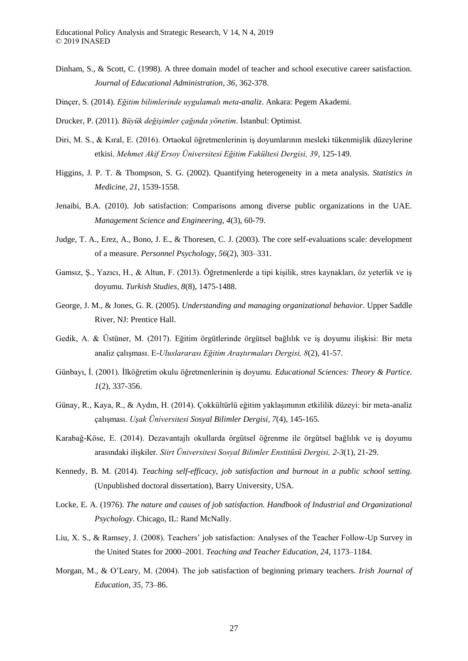- Dinham, S., & Scott, C. (1998). A three domain model of teacher and school executive career satisfaction. *Journal of Educational Administration, 36*, 362-378.
- Dinçer, S. (2014). *Eğitim bilimlerinde uygulamalı meta-analiz*. Ankara: Pegem Akademi.
- Drucker, P. (2011). *Büyük değişimler çağında yönetim*. İstanbul: Optimist.
- Diri, M. S., & Kıral, E. (2016). Ortaokul öğretmenlerinin iş doyumlarının mesleki tükenmişlik düzeylerine etkisi. *Mehmet Akif Ersoy Üniversitesi Eğitim Fakültesi Dergisi, 39*, 125-149.
- Higgins, J. P. T. & Thompson, S. G. (2002). Quantifying heterogeneity in a meta analysis. *Statistics in Medicine*, *21*, 1539-1558.
- Jenaibi, B.A. (2010). Job satisfaction: Comparisons among diverse public organizations in the UAE. *Management Science and Engineering, 4*(3), 60-79.
- Judge, T. A., Erez, A., Bono, J. E., & Thoresen, C. J. (2003). The core self-evaluations scale: development of a measure. *Personnel Psychology, 56*(2), 303–331.
- Gamsız, Ş., Yazıcı, H., & Altun, F. (2013). Öğretmenlerde a tipi kişilik, stres kaynakları, öz yeterlik ve iş doyumu. *Turkish Studies, 8*(8), 1475-1488.
- George, J. M., & Jones, G. R. (2005). *Understanding and managing organizational behavior*. Upper Saddle River, NJ: Prentice Hall.
- Gedik, A. & Üstüner, M. (2017). Eğitim örgütlerinde örgütsel bağlılık ve iş doyumu ilişkisi: Bir meta analiz çalışması. E*-Uluslararası Eğitim Araştırmaları Dergisi, 8*(2), 41-57.
- Günbayı, İ. (2001). İlköğretim okulu öğretmenlerinin iş doyumu. *Educational Sciences: Theory & Partice. 1*(2), 337-356.
- Günay, R., Kaya, R., & Aydın, H. (2014). Çokkültürlü eğitim yaklaşımının etkililik düzeyi: bir meta-analiz çalışması. *Uşak Üniversitesi Sosyal Bilimler Dergisi, 7*(4), 145-165.
- Karabağ-Köse, E. (2014). Dezavantajlı okullarda örgütsel öğrenme ile örgütsel bağlılık ve iş doyumu arasındaki ilişkiler. *Siirt Üniversitesi Sosyal Bilimler Enstitüsü Dergisi, 2-3*(1), 21-29.
- Kennedy, B. M. (2014). *Teaching self-efficacy, job satisfaction and burnout in a public school setting.*  (Unpublished doctoral dissertation), Barry University, USA.
- Locke, E. A. (1976). *The nature and causes of job satisfaction. Handbook of Industrial and Organizational Psychology*. Chicago, IL: Rand McNally.
- Liu, X. S., & Ramsey, J. (2008). Teachers' job satisfaction: Analyses of the Teacher Follow-Up Survey in the United States for 2000–2001. *Teaching and Teacher Education, 24*, 1173–1184.
- Morgan, M., & O'Leary, M. (2004). The job satisfaction of beginning primary teachers. *Irish Journal of Education, 35*, 73–86.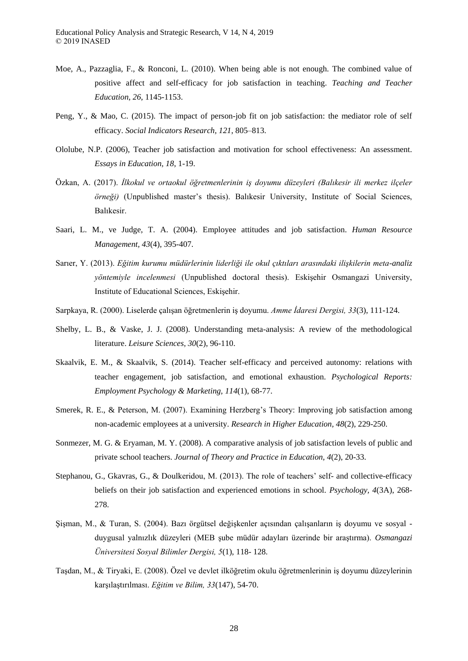- Moe, A., Pazzaglia, F., & Ronconi, L. (2010). When being able is not enough. The combined value of positive affect and self-efficacy for job satisfaction in teaching. *Teaching and Teacher Education, 26*, 1145-1153.
- Peng, Y., & Mao, C. (2015). The impact of person-job fit on job satisfaction: the mediator role of self efficacy. *Social Indicators Research, 121*, 805–813.
- Ololube, N.P. (2006), Teacher job satisfaction and motivation for school effectiveness: An assessment. *Essays in Education, 18*, 1-19.
- Özkan, A. (2017). *İlkokul ve ortaokul öğretmenlerinin iş doyumu düzeyleri (Balıkesir ili merkez ilçeler örneği)* (Unpublished master's thesis). Balıkesir University, Institute of Social Sciences, Balıkesir.
- Saari, L. M., ve Judge, T. A. (2004). Employee attitudes and job satisfaction. *Human Resource Management, 43*(4), 395-407.
- Sarıer, Y. (2013). *Eğitim kurumu müdürlerinin liderliği ile okul çıktıları arasındaki ilişkilerin meta-analiz yöntemiyle incelenmesi* (Unpublished doctoral thesis). Eskişehir Osmangazi University, Institute of Educational Sciences, Eskişehir.
- Sarpkaya, R. (2000). Liselerde çalışan öğretmenlerin iş doyumu. *Amme İdaresi Dergisi, 33*(3), 111-124.
- Shelby, L. B., & Vaske, J. J. (2008). Understanding meta-analysis: A review of the methodological literature. *Leisure Sciences, 30*(2), 96-110.
- Skaalvik, E. M., & Skaalvik, S. (2014). Teacher self-efficacy and perceived autonomy: relations with teacher engagement, job satisfaction, and emotional exhaustion. *Psychological Reports: Employment Psychology & Marketing, 114*(1), 68-77.
- Smerek, R. E., & Peterson, M. (2007). Examining Herzberg's Theory: Improving job satisfaction among non-academic employees at a university. *Research in Higher Education, 48*(2), 229-250.
- Sonmezer, M. G. & Eryaman, M. Y. (2008). A comparative analysis of job satisfaction levels of public and private school teachers. *Journal of Theory and Practice in Education, 4*(2), 20-33.
- Stephanou, G., Gkavras, G., & Doulkeridou, M. (2013). The role of teachers' self- and collective-efficacy beliefs on their job satisfaction and experienced emotions in school. *Psychology, 4*(3A), 268- 278.
- Şişman, M., & Turan, S. (2004). Bazı örgütsel değişkenler açısından çalışanların iş doyumu ve sosyal duygusal yalnızlık düzeyleri (MEB şube müdür adayları üzerinde bir araştırma). *Osmangazi Üniversitesi Sosyal Bilimler Dergisi, 5*(1), 118- 128.
- Taşdan, M., & Tiryaki, E. (2008). Özel ve devlet ilköğretim okulu öğretmenlerinin iş doyumu düzeylerinin karşılaştırılması. *Eğitim ve Bilim, 33*(147), 54-70.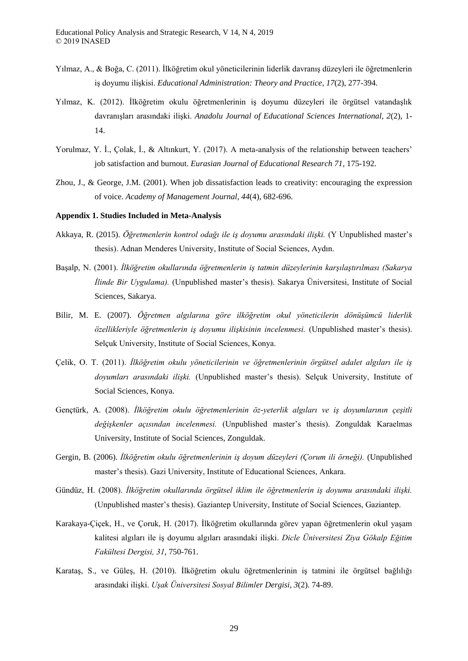- Yılmaz, A., & Boğa, C. (2011). İlköğretim okul yöneticilerinin liderlik davranış düzeyleri ile öğretmenlerin iş doyumu ilişkisi. *Educational Administration: Theory and Practice, 17*(2), 277-394.
- Yılmaz, K. (2012). İlköğretim okulu öğretmenlerinin iş doyumu düzeyleri ile örgütsel vatandaşlık davranışları arasındaki ilişki. *Anadolu Journal of Educational Sciences International, 2*(2), 1- 14.
- Yorulmaz, Y. İ., Çolak, İ., & Altınkurt, Y. (2017). A meta-analysis of the relationship between teachers' job satisfaction and burnout. *Eurasian Journal of Educational Research 71*, 175-192.
- Zhou, J., & George, J.M. (2001). When job dissatisfaction leads to creativity: encouraging the expression of voice. *Academy of Management Journal, 44*(4), 682-696.

# **Appendix 1. Studies Included in Meta-Analysis**

- Akkaya, R. (2015). *Öğretmenlerin kontrol odağı ile iş doyumu arasındaki ilişki.* (Y Unpublished master's thesis). Adnan Menderes University, Institute of Social Sciences, Aydın.
- Başalp, N. (2001). *İlköğretim okullarında öğretmenlerin iş tatmin düzeylerinin karşılaştırılması (Sakarya İlinde Bir Uygulama).* (Unpublished master's thesis). Sakarya Üniversitesi, Institute of Social Sciences, Sakarya.
- Bilir, M. E. (2007). *Öğretmen algılarına göre ilköğretim okul yöneticilerin dönüşümcü liderlik özellikleriyle öğretmenlerin iş doyumu ilişkisinin incelenmesi.* (Unpublished master's thesis). Selçuk University, Institute of Social Sciences, Konya.
- Çelik, O. T. (2011). *İlköğretim okulu yöneticilerinin ve öğretmenlerinin örgütsel adalet algıları ile iş doyumları arasındaki ilişki.* (Unpublished master's thesis). Selçuk University, Institute of Social Sciences, Konya.
- Gençtürk, A. (2008). *İlköğretim okulu öğretmenlerinin öz-yeterlik algıları ve iş doyumlarının çeşitli değişkenler açısından incelenmesi.* (Unpublished master's thesis). Zonguldak Karaelmas University, Institute of Social Sciences, Zonguldak.
- Gergin, B. (2006). *İlköğretim okulu öğretmenlerinin iş doyum düzeyleri (Çorum ili örneği).* (Unpublished master's thesis). Gazi University, Institute of Educational Sciences, Ankara.
- Gündüz, H. (2008). *İlköğretim okullarında örgütsel iklim ile öğretmenlerin iş doyumu arasındaki ilişki.*  (Unpublished master's thesis). Gaziantep University, Institute of Social Sciences, Gaziantep.
- Karakaya-Çiçek, H., ve Çoruk, H. (2017). İlköğretim okullarında görev yapan öğretmenlerin okul yaşam kalitesi algıları ile iş doyumu algıları arasındaki ilişki. *Dicle Üniversitesi Ziya Gökalp Eğitim Fakültesi Dergisi, 31*, 750-761.
- Karataş, S., ve Güleş, H. (2010). İlköğretim okulu öğretmenlerinin iş tatmini ile örgütsel bağlılığı arasındaki ilişki. *Uşak Üniversitesi Sosyal Bilimler Dergisi, 3*(2). 74-89.